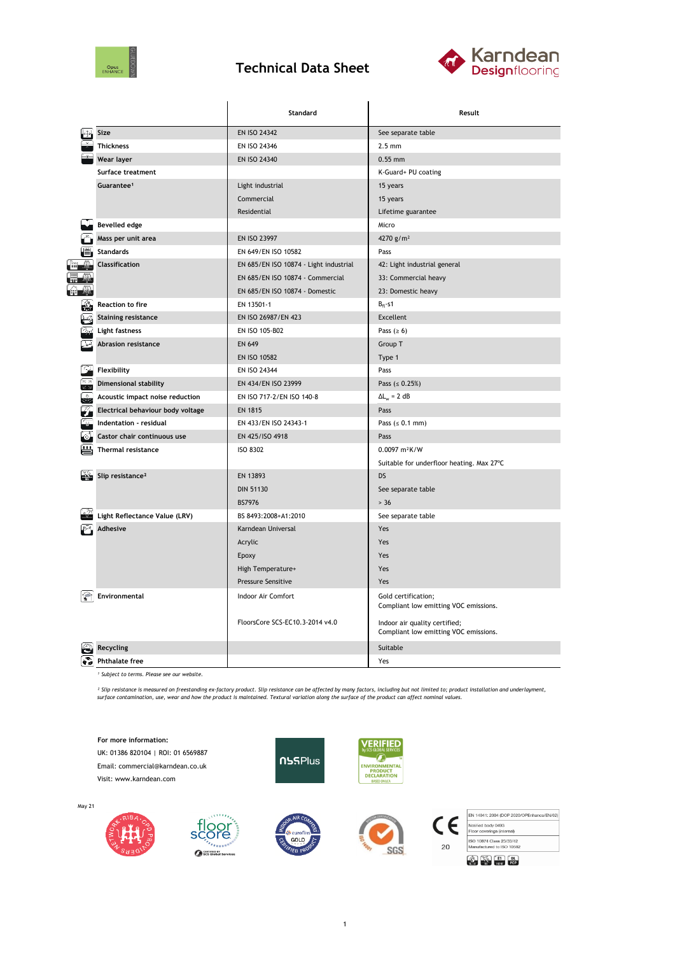

## **Technical Data Sheet**



|                |                                   | <b>Standard</b>                        | Result                                                                 |  |  |
|----------------|-----------------------------------|----------------------------------------|------------------------------------------------------------------------|--|--|
|                | Size                              | EN ISO 24342                           | See separate table                                                     |  |  |
|                | <b>Thickness</b>                  | EN ISO 24346                           | $2.5 \text{ mm}$                                                       |  |  |
|                | Wear layer                        | EN ISO 24340                           | $0.55$ mm                                                              |  |  |
|                | Surface treatment                 |                                        | K-Guard+ PU coating                                                    |  |  |
|                | Guarantee <sup>1</sup>            | Light industrial                       | 15 years                                                               |  |  |
|                |                                   | Commercial                             | 15 years                                                               |  |  |
|                |                                   | Residential                            | Lifetime guarantee                                                     |  |  |
|                | <b>Bevelled edge</b>              |                                        | Micro                                                                  |  |  |
|                | Mass per unit area                | EN ISO 23997                           | 4270 $g/m^2$                                                           |  |  |
|                | <b>Standards</b>                  | EN 649/EN ISO 10582                    | Pass                                                                   |  |  |
|                | Classification                    | EN 685/EN ISO 10874 - Light industrial | 42: Light industrial general                                           |  |  |
|                |                                   | EN 685/EN ISO 10874 - Commercial       | 33: Commercial heavy                                                   |  |  |
|                |                                   | EN 685/EN ISO 10874 - Domestic         | 23: Domestic heavy                                                     |  |  |
|                | <b>Reaction to fire</b>           | EN 13501-1                             | $B_{fl}$ -s1                                                           |  |  |
|                | <b>Staining resistance</b>        | EN ISO 26987/EN 423                    | Excellent                                                              |  |  |
|                | Light fastness                    | EN ISO 105-B02                         | Pass ( $\geq 6$ )                                                      |  |  |
|                | <b>Abrasion resistance</b>        | <b>EN 649</b>                          | Group T                                                                |  |  |
|                |                                   | <b>EN ISO 10582</b>                    | Type 1                                                                 |  |  |
|                | Flexibility                       | EN ISO 24344                           | Pass                                                                   |  |  |
| $\overline{z}$ | <b>Dimensional stability</b>      | EN 434/EN ISO 23999                    | Pass $( \le 0.25\%)$                                                   |  |  |
|                | Acoustic impact noise reduction   | EN ISO 717-2/EN ISO 140-8              | $\Delta L_w = 2 dB$                                                    |  |  |
|                | Electrical behaviour body voltage | <b>EN 1815</b>                         | Pass                                                                   |  |  |
|                | Indentation - residual            | EN 433/EN ISO 24343-1                  | Pass $(s 0.1 mm)$                                                      |  |  |
|                | Castor chair continuous use       | EN 425/ISO 4918                        | Pass                                                                   |  |  |
| ё              | Thermal resistance                | <b>ISO 8302</b>                        | 0.0097 m <sup>2</sup> K/W                                              |  |  |
|                |                                   |                                        | Suitable for underfloor heating. Max 27°C                              |  |  |
|                | Slip resistance <sup>2</sup>      | EN 13893                               | DS                                                                     |  |  |
|                |                                   | <b>DIN 51130</b>                       | See separate table                                                     |  |  |
|                |                                   | <b>BS7976</b>                          | $> 36$                                                                 |  |  |
|                | Light Reflectance Value (LRV)     | BS 8493:2008+A1:2010                   | See separate table                                                     |  |  |
|                | <b>Adhesive</b>                   | Karndean Universal                     | Yes                                                                    |  |  |
|                |                                   | Acrylic                                | Yes                                                                    |  |  |
|                |                                   | Epoxy                                  | Yes                                                                    |  |  |
|                |                                   | High Temperature+                      | Yes                                                                    |  |  |
|                |                                   | <b>Pressure Sensitive</b>              | Yes                                                                    |  |  |
|                | Environmental                     | Indoor Air Comfort                     | Gold certification;<br>Compliant low emitting VOC emissions.           |  |  |
|                |                                   | FloorsCore SCS-EC10.3-2014 v4.0        | Indoor air quality certified;<br>Compliant low emitting VOC emissions. |  |  |
|                | Recycling                         |                                        | Suitable                                                               |  |  |
|                | <b>Phthalate free</b>             |                                        | Yes                                                                    |  |  |

*¹ Subject to terms. Please see our website.*

<sup>2</sup> Slip resistance is measured on freestanding ex-factory product. Slip resistance can be affected by many factors, including but not limited to; product installation and underlayment,<br>surface contamination, use, wear and

**For more information:**

UK: 01386 820104 | ROI: 01 6569887 Email: commercial@karndean.co.uk Visit: www.karndean.com

> loor<br>:ore sö

> > **FREE**NT

SCS Global Services









|    | EN 14041: 2004 (DOP 2020/OPEnhance/EN/02) |
|----|-------------------------------------------|
|    | Notified body 0493                        |
|    | Floor coverings (internal)                |
|    | ISO 10874 Class 23/33/42                  |
| 20 | Manufactured to ISO 10582                 |
|    |                                           |

May 21